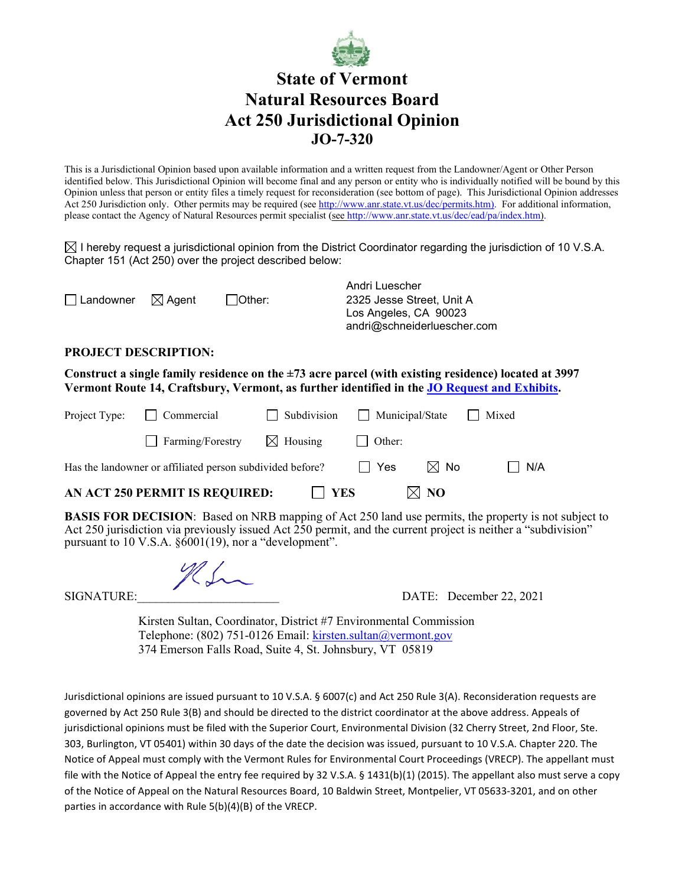

## **State of Vermont Natural Resources Board Act 250 Jurisdictional Opinion JO-7-320**

This is a Jurisdictional Opinion based upon available information and a written request from the Landowner/Agent or Other Person identified below. This Jurisdictional Opinion will become final and any person or entity who is individually notified will be bound by this Opinion unless that person or entity files a timely request for reconsideration (see bottom of page). This Jurisdictional Opinion addresses Act 250 Jurisdiction only. Other permits may be required (see [http://www.anr.state.vt.us/dec/permits.htm\)](http://www.anr.state.vt.us/dec/permits.htm). For additional information, please contact the Agency of Natural Resources permit specialist (see [http://www.anr.state.vt.us/dec/ead/pa/index.htm\)](http://www.anr.state.vt.us/dec/ead/pa/index.htm).

 $\boxtimes$  I hereby request a jurisdictional opinion from the District Coordinator regarding the jurisdiction of 10 V.S.A. Chapter 151 (Act 250) over the project described below:

|                                    |           | Andri Luescher              |  |
|------------------------------------|-----------|-----------------------------|--|
| $\Box$ Landowner $\boxtimes$ Agent | l lOther: | 2325 Jesse Street. Unit A   |  |
|                                    |           | Los Angeles, CA 90023       |  |
|                                    |           | andri@schneiderluescher.com |  |

## **PROJECT DESCRIPTION:**

**Construct a single family residence on the ±73 acre parcel (with existing residence) located at 3997 Vermont Route 14, Craftsbury, Vermont, as further identified in the [JO Request and Exhibits.](https://anrweb.vt.gov/ANR/vtANR/Act250SearchResults.aspx?Num=JO%207-320)**

| AN ACT 250 PERMIT IS REQUIRED:<br>$\boxtimes$ NO<br>    YES |                                                           |        |                                           |     |       |  |  |  |
|-------------------------------------------------------------|-----------------------------------------------------------|--------|-------------------------------------------|-----|-------|--|--|--|
|                                                             | Has the landowner or affiliated person subdivided before? | II Yes | $\boxtimes$ No                            | N/A |       |  |  |  |
|                                                             | $\Box$ Farming/Forestry $\boxtimes$ Housing               |        | $\blacksquare$ Other:                     |     |       |  |  |  |
|                                                             | Project Type: Commercial                                  |        | $\Box$ Subdivision $\Box$ Municipal/State |     | Mixed |  |  |  |

**BASIS FOR DECISION**: Based on NRB mapping of Act 250 land use permits, the property is not subject to Act 250 jurisdiction via previously issued Act 250 permit, and the current project is neither a "subdivision" pursuant to 10 V.S.A. §6001(19), nor a "development".

SIGNATURE:\_\_\_\_\_\_\_\_\_\_\_\_\_\_\_\_\_\_\_\_\_\_\_ DATE: December 22, 2021

 Kirsten Sultan, Coordinator, District #7 Environmental Commission Telephone: (802) 751-0126 Email: [kirsten.sultan@vermont.gov](mailto:kirsten.sultan@vermont.gov) 374 Emerson Falls Road, Suite 4, St. Johnsbury, VT 05819

Jurisdictional opinions are issued pursuant to 10 V.S.A. § 6007(c) and Act 250 Rule 3(A). Reconsideration requests are governed by Act 250 Rule 3(B) and should be directed to the district coordinator at the above address. Appeals of jurisdictional opinions must be filed with the Superior Court, Environmental Division (32 Cherry Street, 2nd Floor, Ste. 303, Burlington, VT 05401) within 30 days of the date the decision was issued, pursuant to 10 V.S.A. Chapter 220. The Notice of Appeal must comply with the Vermont Rules for Environmental Court Proceedings (VRECP). The appellant must file with the Notice of Appeal the entry fee required by 32 V.S.A. § 1431(b)(1) (2015). The appellant also must serve a copy of the Notice of Appeal on the Natural Resources Board, 10 Baldwin Street, Montpelier, VT 05633-3201, and on other parties in accordance with Rule 5(b)(4)(B) of the VRECP.